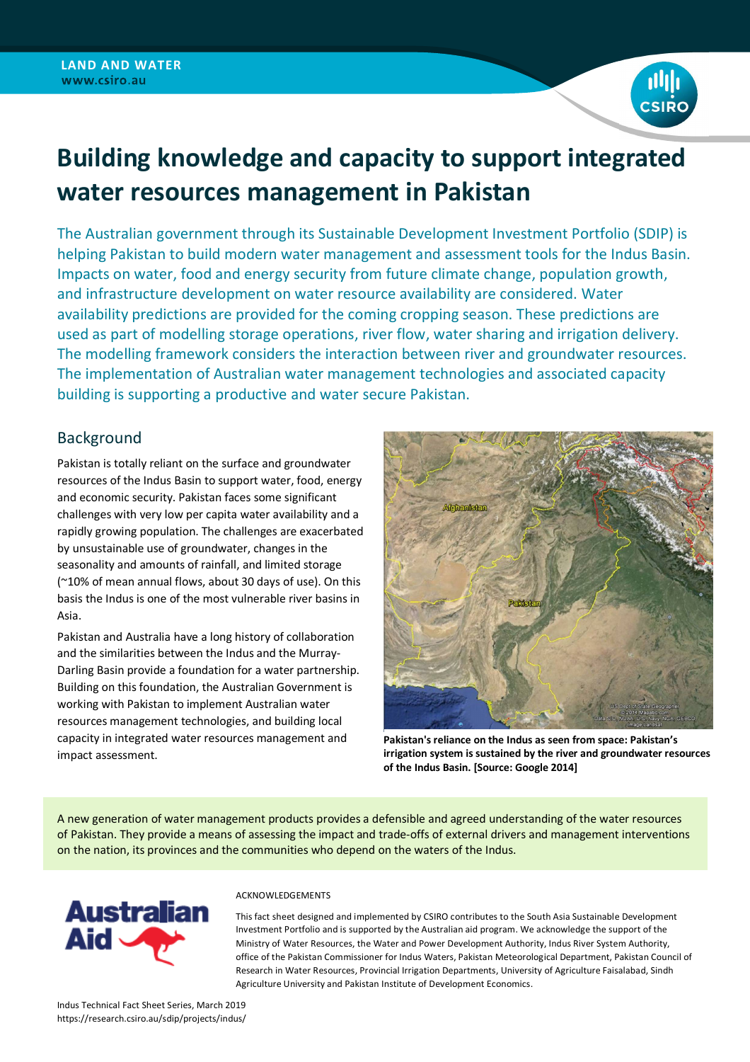

# **Building knowledge and capacity to support integrated water resources management in Pakistan**

The Australian government through its Sustainable Development Investment Portfolio (SDIP) is helping Pakistan to build modern water management and assessment tools for the Indus Basin. Impacts on water, food and energy security from future climate change, population growth, and infrastructure development on water resource availability are considered. Water availability predictions are provided for the coming cropping season. These predictions are used as part of modelling storage operations, river flow, water sharing and irrigation delivery. The modelling framework considers the interaction between river and groundwater resources. The implementation of Australian water management technologies and associated capacity building is supporting a productive and water secure Pakistan.

## Background

Pakistan is totally reliant on the surface and groundwater resources of the Indus Basin to support water, food, energy and economic security. Pakistan faces some significant challenges with very low per capita water availability and a rapidly growing population. The challenges are exacerbated by unsustainable use of groundwater, changes in the seasonality and amounts of rainfall, and limited storage (~10% of mean annual flows, about 30 days of use). On this basis the Indus is one of the most vulnerable river basins in Asia.

Pakistan and Australia have a long history of collaboration and the similarities between the Indus and the Murray-Darling Basin provide a foundation for a water partnership. Building on this foundation, the Australian Government is working with Pakistan to implement Australian water resources management technologies, and building local capacity in integrated water resources management and impact assessment.



**Pakistan's reliance on the Indus as seen from space: Pakistan's irrigation system is sustained by the river and groundwater resources of the Indus Basin. [Source: Google 2014]**

A new generation of water management products provides a defensible and agreed understanding of the water resources of Pakistan. They provide a means of assessing the impact and trade-offs of external drivers and management interventions on the nation, its provinces and the communities who depend on the waters of the Indus.



#### ACKNOWLEDGEMENTS

This fact sheet designed and implemented by CSIRO contributes to the South Asia Sustainable Development Investment Portfolio and is supported by the Australian aid program. We acknowledge the support of the Ministry of Water Resources, the Water and Power Development Authority, Indus River System Authority, office of the Pakistan Commissioner for Indus Waters, Pakistan Meteorological Department, Pakistan Council of Research in Water Resources, Provincial Irrigation Departments, University of Agriculture Faisalabad, Sindh Agriculture University and Pakistan Institute of Development Economics.